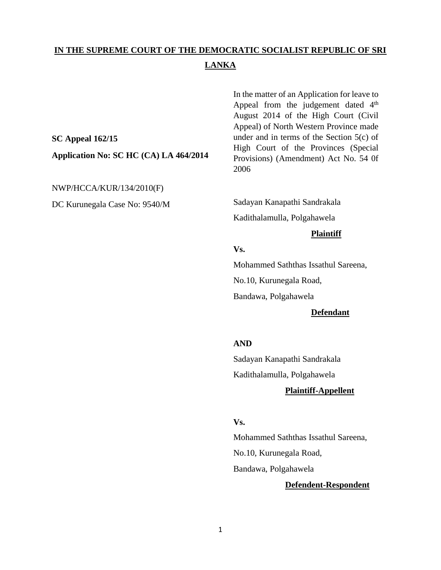# **IN THE SUPREME COURT OF THE DEMOCRATIC SOCIALIST REPUBLIC OF SRI LANKA**

**SC Appeal 162/15 Application No: SC HC (CA) LA 464/2014**

NWP/HCCA/KUR/134/2010(F)

DC Kurunegala Case No: 9540/M

In the matter of an Application for leave to Appeal from the judgement dated 4<sup>th</sup> August 2014 of the High Court (Civil Appeal) of North Western Province made under and in terms of the Section 5(c) of High Court of the Provinces (Special Provisions) (Amendment) Act No. 54 0f 2006 

Sadayan Kanapathi Sandrakala Kadithalamulla, Polgahawela

#### **Plaintiff**

**Vs.**

Mohammed Saththas Issathul Sareena,

No.10, Kurunegala Road,

Bandawa, Polgahawela

## **Defendant**

#### **AND**

Sadayan Kanapathi Sandrakala Kadithalamulla, Polgahawela

#### **Plaintiff-Appellent**

### **Vs.**

Mohammed Saththas Issathul Sareena, No.10, Kurunegala Road, Bandawa, Polgahawela

#### **Defendent-Respondent**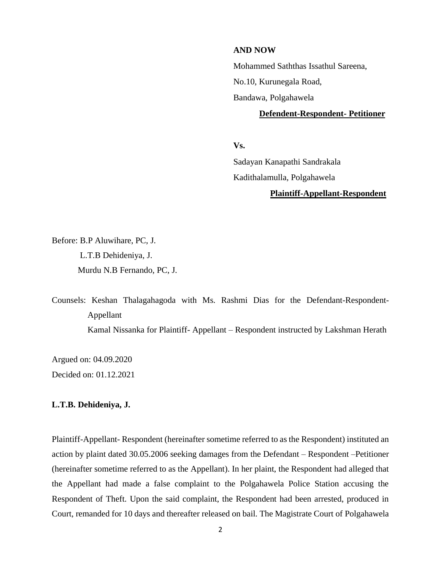#### **AND NOW**

Mohammed Saththas Issathul Sareena,

No.10, Kurunegala Road,

Bandawa, Polgahawela

#### **Defendent-Respondent- Petitioner**

**Vs.**

Sadayan Kanapathi Sandrakala Kadithalamulla, Polgahawela

### **Plaintiff-Appellant-Respondent**

Before: B.P Aluwihare, PC, J. L.T.B Dehideniya, J. Murdu N.B Fernando, PC, J.

Counsels: Keshan Thalagahagoda with Ms. Rashmi Dias for the Defendant-Respondent-Appellant Kamal Nissanka for Plaintiff- Appellant – Respondent instructed by Lakshman Herath

Argued on: 04.09.2020 Decided on: 01.12.2021

#### **L.T.B. Dehideniya, J.**

Plaintiff-Appellant- Respondent (hereinafter sometime referred to as the Respondent) instituted an action by plaint dated 30.05.2006 seeking damages from the Defendant – Respondent –Petitioner (hereinafter sometime referred to as the Appellant). In her plaint, the Respondent had alleged that the Appellant had made a false complaint to the Polgahawela Police Station accusing the Respondent of Theft. Upon the said complaint, the Respondent had been arrested, produced in Court, remanded for 10 days and thereafter released on bail. The Magistrate Court of Polgahawela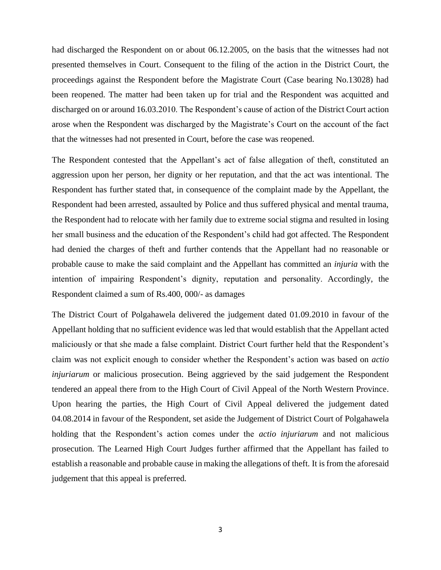had discharged the Respondent on or about 06.12.2005, on the basis that the witnesses had not presented themselves in Court. Consequent to the filing of the action in the District Court, the proceedings against the Respondent before the Magistrate Court (Case bearing No.13028) had been reopened. The matter had been taken up for trial and the Respondent was acquitted and discharged on or around 16.03.2010. The Respondent's cause of action of the District Court action arose when the Respondent was discharged by the Magistrate's Court on the account of the fact that the witnesses had not presented in Court, before the case was reopened.

The Respondent contested that the Appellant's act of false allegation of theft, constituted an aggression upon her person, her dignity or her reputation, and that the act was intentional. The Respondent has further stated that, in consequence of the complaint made by the Appellant, the Respondent had been arrested, assaulted by Police and thus suffered physical and mental trauma, the Respondent had to relocate with her family due to extreme social stigma and resulted in losing her small business and the education of the Respondent's child had got affected. The Respondent had denied the charges of theft and further contends that the Appellant had no reasonable or probable cause to make the said complaint and the Appellant has committed an *injuria* with the intention of impairing Respondent's dignity, reputation and personality. Accordingly, the Respondent claimed a sum of Rs.400, 000/- as damages

The District Court of Polgahawela delivered the judgement dated 01.09.2010 in favour of the Appellant holding that no sufficient evidence was led that would establish that the Appellant acted maliciously or that she made a false complaint. District Court further held that the Respondent's claim was not explicit enough to consider whether the Respondent's action was based on *actio injuriarum* or malicious prosecution. Being aggrieved by the said judgement the Respondent tendered an appeal there from to the High Court of Civil Appeal of the North Western Province. Upon hearing the parties, the High Court of Civil Appeal delivered the judgement dated 04.08.2014 in favour of the Respondent, set aside the Judgement of District Court of Polgahawela holding that the Respondent's action comes under the *actio injuriarum* and not malicious prosecution. The Learned High Court Judges further affirmed that the Appellant has failed to establish a reasonable and probable cause in making the allegations of theft. It is from the aforesaid judgement that this appeal is preferred.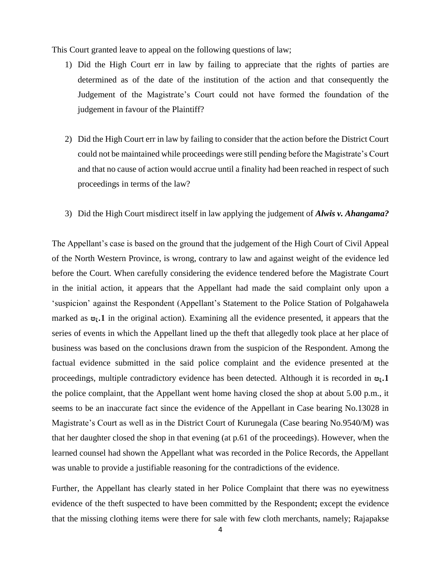This Court granted leave to appeal on the following questions of law;

- 1) Did the High Court err in law by failing to appreciate that the rights of parties are determined as of the date of the institution of the action and that consequently the Judgement of the Magistrate's Court could not have formed the foundation of the judgement in favour of the Plaintiff?
- 2) Did the High Court err in law by failing to consider that the action before the District Court could not be maintained while proceedings were still pending before the Magistrate's Court and that no cause of action would accrue until a finality had been reached in respect of such proceedings in terms of the law?
- 3) Did the High Court misdirect itself in law applying the judgement of *Alwis v. Ahangama?*

The Appellant's case is based on the ground that the judgement of the High Court of Civil Appeal of the North Western Province, is wrong, contrary to law and against weight of the evidence led before the Court. When carefully considering the evidence tendered before the Magistrate Court in the initial action, it appears that the Appellant had made the said complaint only upon a 'suspicion' against the Respondent (Appellant's Statement to the Police Station of Polgahawela marked as **පැ.1** in the original action). Examining all the evidence presented, it appears that the series of events in which the Appellant lined up the theft that allegedly took place at her place of business was based on the conclusions drawn from the suspicion of the Respondent. Among the factual evidence submitted in the said police complaint and the evidence presented at the proceedings, multiple contradictory evidence has been detected. Although it is recorded in **පැ.1**  the police complaint, that the Appellant went home having closed the shop at about 5.00 p.m., it seems to be an inaccurate fact since the evidence of the Appellant in Case bearing No.13028 in Magistrate's Court as well as in the District Court of Kurunegala (Case bearing No.9540/M) was that her daughter closed the shop in that evening (at p.61 of the proceedings). However, when the learned counsel had shown the Appellant what was recorded in the Police Records, the Appellant was unable to provide a justifiable reasoning for the contradictions of the evidence.

Further, the Appellant has clearly stated in her Police Complaint that there was no eyewitness evidence of the theft suspected to have been committed by the Respondent**;** except the evidence that the missing clothing items were there for sale with few cloth merchants, namely; Rajapakse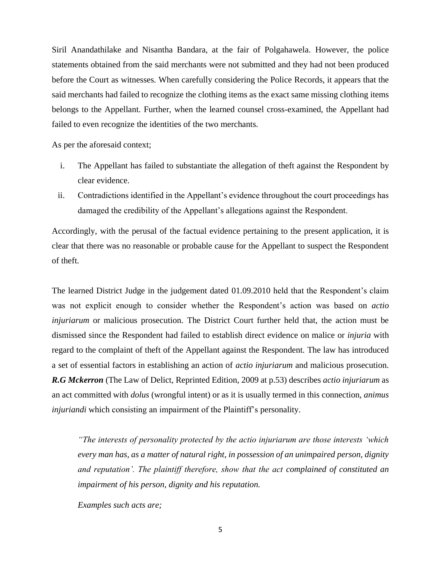Siril Anandathilake and Nisantha Bandara, at the fair of Polgahawela. However, the police statements obtained from the said merchants were not submitted and they had not been produced before the Court as witnesses. When carefully considering the Police Records, it appears that the said merchants had failed to recognize the clothing items as the exact same missing clothing items belongs to the Appellant. Further, when the learned counsel cross-examined, the Appellant had failed to even recognize the identities of the two merchants.

As per the aforesaid context;

- i. The Appellant has failed to substantiate the allegation of theft against the Respondent by clear evidence.
- ii. Contradictions identified in the Appellant's evidence throughout the court proceedings has damaged the credibility of the Appellant's allegations against the Respondent.

Accordingly, with the perusal of the factual evidence pertaining to the present application, it is clear that there was no reasonable or probable cause for the Appellant to suspect the Respondent of theft.

The learned District Judge in the judgement dated 01.09.2010 held that the Respondent's claim was not explicit enough to consider whether the Respondent's action was based on *actio injuriarum* or malicious prosecution. The District Court further held that, the action must be dismissed since the Respondent had failed to establish direct evidence on malice or *injuria* with regard to the complaint of theft of the Appellant against the Respondent. The law has introduced a set of essential factors in establishing an action of *actio injuriarum* and malicious prosecution. *R.G Mckerron* (The Law of Delict, Reprinted Edition, 2009 at p.53) describes *actio injuriarum* as an act committed with *dolus* (wrongful intent) or as it is usually termed in this connection, *animus injuriandi* which consisting an impairment of the Plaintiff's personality.

*"The interests of personality protected by the actio injuriarum are those interests 'which every man has, as a matter of natural right, in possession of an unimpaired person, dignity and reputation'. The plaintiff therefore, show that the act complained of constituted an impairment of his person, dignity and his reputation.*

*Examples such acts are;*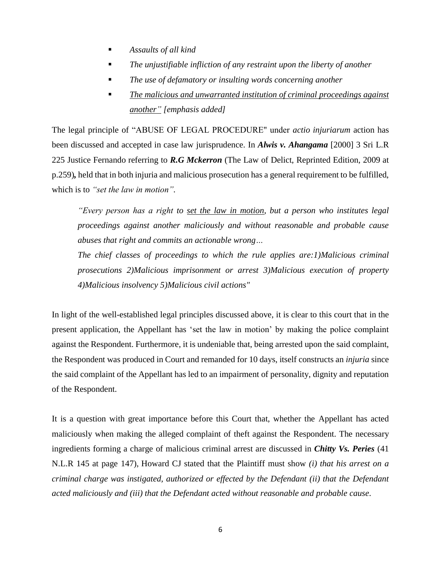- *Assaults of all kind*
- *The unjustifiable infliction of any restraint upon the liberty of another*
- *The use of defamatory or insulting words concerning another*
- *The malicious and unwarranted institution of criminal proceedings against another" [emphasis added]*

The legal principle of "ABUSE OF LEGAL PROCEDURE" under *actio injuriarum* action has been discussed and accepted in case law jurisprudence. In *Alwis v. Ahangama* [2000] 3 Sri L.R 225 Justice Fernando referring to *R.G Mckerron* (The Law of Delict, Reprinted Edition, 2009 at p.259)*,* held that in both injuria and malicious prosecution has a general requirement to be fulfilled, which is to *"set the law in motion".*

*"Every person has a right to set the law in motion, but a person who institutes legal proceedings against another maliciously and without reasonable and probable cause abuses that right and commits an actionable wrong…*

*The chief classes of proceedings to which the rule applies are:1)Malicious criminal prosecutions 2)Malicious imprisonment or arrest 3)Malicious execution of property 4)Malicious insolvency 5)Malicious civil actions"*

In light of the well-established legal principles discussed above, it is clear to this court that in the present application, the Appellant has 'set the law in motion' by making the police complaint against the Respondent. Furthermore, it is undeniable that, being arrested upon the said complaint, the Respondent was produced in Court and remanded for 10 days, itself constructs an *injuria* since the said complaint of the Appellant has led to an impairment of personality, dignity and reputation of the Respondent.

It is a question with great importance before this Court that, whether the Appellant has acted maliciously when making the alleged complaint of theft against the Respondent. The necessary ingredients forming a charge of malicious criminal arrest are discussed in *Chitty Vs. Peries* (41 N.L.R 145 at page 147), Howard CJ stated that the Plaintiff must show *(i) that his arrest on a criminal charge was instigated, authorized or effected by the Defendant (ii) that the Defendant acted maliciously and (iii) that the Defendant acted without reasonable and probable cause*.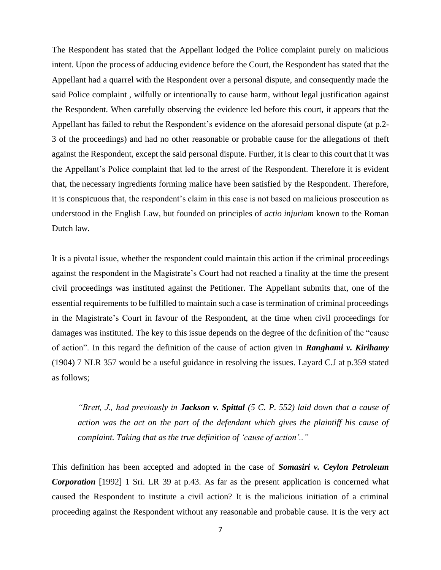The Respondent has stated that the Appellant lodged the Police complaint purely on malicious intent. Upon the process of adducing evidence before the Court, the Respondent has stated that the Appellant had a quarrel with the Respondent over a personal dispute, and consequently made the said Police complaint , wilfully or intentionally to cause harm, without legal justification against the Respondent. When carefully observing the evidence led before this court, it appears that the Appellant has failed to rebut the Respondent's evidence on the aforesaid personal dispute (at p.2- 3 of the proceedings) and had no other reasonable or probable cause for the allegations of theft against the Respondent, except the said personal dispute. Further, it is clear to this court that it was the Appellant's Police complaint that led to the arrest of the Respondent. Therefore it is evident that, the necessary ingredients forming malice have been satisfied by the Respondent. Therefore, it is conspicuous that, the respondent's claim in this case is not based on malicious prosecution as understood in the English Law, but founded on principles of *actio injuriam* known to the Roman Dutch law.

It is a pivotal issue, whether the respondent could maintain this action if the criminal proceedings against the respondent in the Magistrate's Court had not reached a finality at the time the present civil proceedings was instituted against the Petitioner. The Appellant submits that, one of the essential requirements to be fulfilled to maintain such a case is termination of criminal proceedings in the Magistrate's Court in favour of the Respondent, at the time when civil proceedings for damages was instituted. The key to this issue depends on the degree of the definition of the "cause of action". In this regard the definition of the cause of action given in *Ranghami v. Kirihamy*  (1904) 7 NLR 357 would be a useful guidance in resolving the issues. Layard C.J at p.359 stated as follows;

*"Brett, J., had previously in Jackson v. Spittal (5 C. P. 552) laid down that a cause of action was the act on the part of the defendant which gives the plaintiff his cause of complaint. Taking that as the true definition of 'cause of action'.."*

This definition has been accepted and adopted in the case of *Somasiri v. Ceylon Petroleum Corporation* [1992] 1 Sri. LR 39 at p.43. As far as the present application is concerned what caused the Respondent to institute a civil action? It is the malicious initiation of a criminal proceeding against the Respondent without any reasonable and probable cause. It is the very act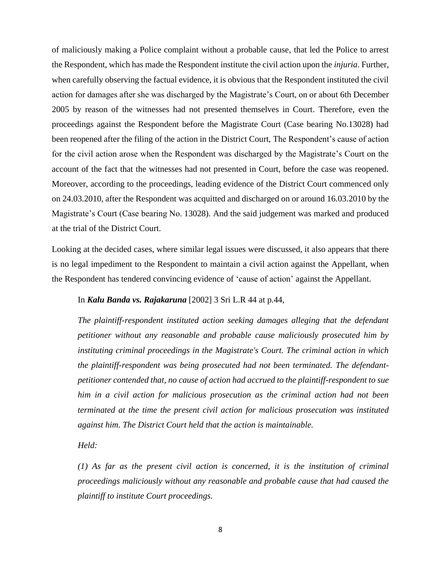of maliciously making a Police complaint without a probable cause, that led the Police to arrest the Respondent, which has made the Respondent institute the civil action upon the *injuria*. Further, when carefully observing the factual evidence, it is obvious that the Respondent instituted the civil action for damages after she was discharged by the Magistrate's Court, on or about 6th December 2005 by reason of the witnesses had not presented themselves in Court. Therefore, even the proceedings against the Respondent before the Magistrate Court (Case bearing No.13028) had been reopened after the filing of the action in the District Court, The Respondent's cause of action for the civil action arose when the Respondent was discharged by the Magistrate's Court on the account of the fact that the witnesses had not presented in Court, before the case was reopened. Moreover, according to the proceedings, leading evidence of the District Court commenced only on 24.03.2010, after the Respondent was acquitted and discharged on or around 16.03.2010 by the Magistrate's Court (Case bearing No. 13028). And the said judgement was marked and produced at the trial of the District Court.

Looking at the decided cases, where similar legal issues were discussed, it also appears that there is no legal impediment to the Respondent to maintain a civil action against the Appellant, when the Respondent has tendered convincing evidence of 'cause of action' against the Appellant.

#### In *Kalu Banda vs. Rajakaruna* [2002] 3 Sri L.R 44 at p.44,

*The plaintiff-respondent instituted action seeking damages alleging that the defendant petitioner without any reasonable and probable cause maliciously prosecuted him by instituting criminal proceedings in the Magistrate's Court. The criminal action in which the plaintiff-respondent was being prosecuted had not been terminated. The defendantpetitioner contended that, no cause of action had accrued to the plaintiff-respondent to sue him in a civil action for malicious prosecution as the criminal action had not been terminated at the time the present civil action for malicious prosecution was instituted against him. The District Court held that the action is maintainable.*

*Held:*

*(1) As far as the present civil action is concerned, it is the institution of criminal proceedings maliciously without any reasonable and probable cause that had caused the plaintiff to institute Court proceedings.*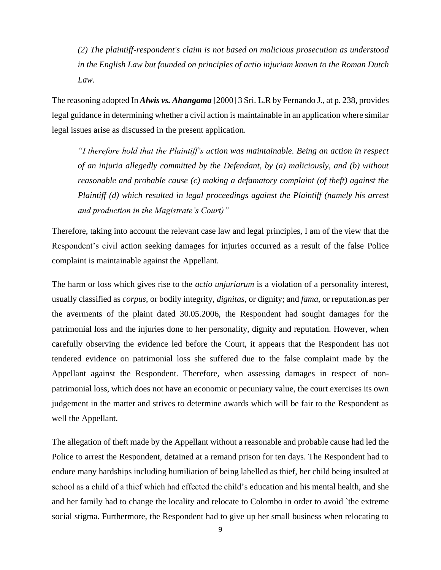*(2) The plaintiff-respondent's claim is not based on malicious prosecution as understood in the English Law but founded on principles of actio injuriam known to the Roman Dutch Law.*

The reasoning adopted In *Alwis vs. Ahangama* [2000] 3 Sri. L.R by Fernando J., at p. 238, provides legal guidance in determining whether a civil action is maintainable in an application where similar legal issues arise as discussed in the present application.

*"I therefore hold that the Plaintiff's action was maintainable. Being an action in respect of an injuria allegedly committed by the Defendant, by (a) maliciously, and (b) without reasonable and probable cause (c) making a defamatory complaint (of theft) against the Plaintiff (d) which resulted in legal proceedings against the Plaintiff (namely his arrest and production in the Magistrate's Court)"*

Therefore, taking into account the relevant case law and legal principles, I am of the view that the Respondent's civil action seeking damages for injuries occurred as a result of the false Police complaint is maintainable against the Appellant.

The harm or loss which gives rise to the *actio unjuriarum* is a violation of a personality interest, usually classified as *corpus*, or bodily integrity, *dignitas*, or dignity; and *fama*, or reputation.as per the averments of the plaint dated 30.05.2006, the Respondent had sought damages for the patrimonial loss and the injuries done to her personality, dignity and reputation. However, when carefully observing the evidence led before the Court, it appears that the Respondent has not tendered evidence on patrimonial loss she suffered due to the false complaint made by the Appellant against the Respondent. Therefore, when assessing damages in respect of nonpatrimonial loss, which does not have an economic or pecuniary value, the court exercises its own judgement in the matter and strives to determine awards which will be fair to the Respondent as well the Appellant.

The allegation of theft made by the Appellant without a reasonable and probable cause had led the Police to arrest the Respondent, detained at a remand prison for ten days. The Respondent had to endure many hardships including humiliation of being labelled as thief, her child being insulted at school as a child of a thief which had effected the child's education and his mental health, and she and her family had to change the locality and relocate to Colombo in order to avoid `the extreme social stigma. Furthermore, the Respondent had to give up her small business when relocating to